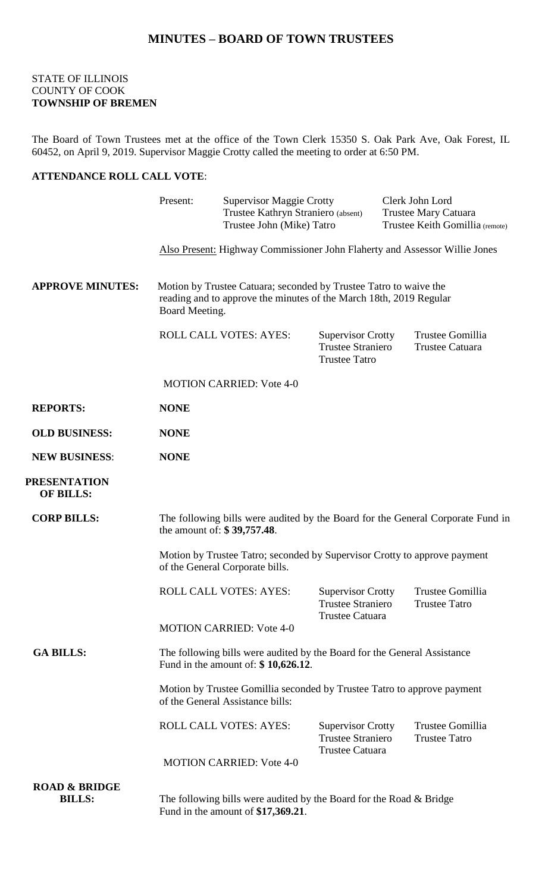## **MINUTES – BOARD OF TOWN TRUSTEES**

## STATE OF ILLINOIS COUNTY OF COOK **TOWNSHIP OF BREMEN**

The Board of Town Trustees met at the office of the Town Clerk 15350 S. Oak Park Ave, Oak Forest, IL 60452, on April 9, 2019. Supervisor Maggie Crotty called the meeting to order at 6:50 PM.

## **ATTENDANCE ROLL CALL VOTE**:

|                                           | Present:                                                                                                                                                  | <b>Supervisor Maggie Crotty</b><br>Trustee Kathryn Straniero (absent)<br>Trustee John (Mike) Tatro             |                                                                              | Clerk John Lord<br><b>Trustee Mary Catuara</b><br>Trustee Keith Gomillia (remote) |                                                            |  |
|-------------------------------------------|-----------------------------------------------------------------------------------------------------------------------------------------------------------|----------------------------------------------------------------------------------------------------------------|------------------------------------------------------------------------------|-----------------------------------------------------------------------------------|------------------------------------------------------------|--|
|                                           | Also Present: Highway Commissioner John Flaherty and Assessor Willie Jones                                                                                |                                                                                                                |                                                                              |                                                                                   |                                                            |  |
| <b>APPROVE MINUTES:</b>                   | Motion by Trustee Catuara; seconded by Trustee Tatro to waive the<br>reading and to approve the minutes of the March 18th, 2019 Regular<br>Board Meeting. |                                                                                                                |                                                                              |                                                                                   |                                                            |  |
|                                           | <b>ROLL CALL VOTES: AYES:</b>                                                                                                                             |                                                                                                                | <b>Supervisor Crotty</b><br><b>Trustee Straniero</b><br><b>Trustee Tatro</b> |                                                                                   | Trustee Gomillia<br><b>Trustee Catuara</b>                 |  |
|                                           |                                                                                                                                                           | <b>MOTION CARRIED: Vote 4-0</b>                                                                                |                                                                              |                                                                                   |                                                            |  |
| <b>REPORTS:</b>                           | <b>NONE</b>                                                                                                                                               |                                                                                                                |                                                                              |                                                                                   |                                                            |  |
| <b>OLD BUSINESS:</b>                      | <b>NONE</b>                                                                                                                                               |                                                                                                                |                                                                              |                                                                                   |                                                            |  |
| <b>NEW BUSINESS:</b>                      | <b>NONE</b>                                                                                                                                               |                                                                                                                |                                                                              |                                                                                   |                                                            |  |
| <b>PRESENTATION</b><br><b>OF BILLS:</b>   |                                                                                                                                                           |                                                                                                                |                                                                              |                                                                                   |                                                            |  |
| <b>CORP BILLS:</b>                        |                                                                                                                                                           | The following bills were audited by the Board for the General Corporate Fund in<br>the amount of: \$39,757.48. |                                                                              |                                                                                   |                                                            |  |
|                                           | Motion by Trustee Tatro; seconded by Supervisor Crotty to approve payment<br>of the General Corporate bills.                                              |                                                                                                                |                                                                              |                                                                                   |                                                            |  |
|                                           |                                                                                                                                                           | ROLL CALL VOTES: AYES:                                                                                         | <b>Trustee Straniero</b><br><b>Trustee Catuara</b>                           |                                                                                   | Supervisor Crotty Trustee Gomillia<br><b>Trustee Tatro</b> |  |
|                                           | <b>MOTION CARRIED: Vote 4-0</b>                                                                                                                           |                                                                                                                |                                                                              |                                                                                   |                                                            |  |
| <b>GA BILLS:</b>                          | The following bills were audited by the Board for the General Assistance<br>Fund in the amount of: $$10,626.12$ .                                         |                                                                                                                |                                                                              |                                                                                   |                                                            |  |
|                                           | Motion by Trustee Gomillia seconded by Trustee Tatro to approve payment<br>of the General Assistance bills:                                               |                                                                                                                |                                                                              |                                                                                   |                                                            |  |
|                                           |                                                                                                                                                           | <b>ROLL CALL VOTES: AYES:</b>                                                                                  | <b>Supervisor Crotty</b><br><b>Trustee Straniero</b>                         |                                                                                   | Trustee Gomillia<br><b>Trustee Tatro</b>                   |  |
|                                           |                                                                                                                                                           | <b>MOTION CARRIED: Vote 4-0</b>                                                                                | <b>Trustee Catuara</b>                                                       |                                                                                   |                                                            |  |
| <b>ROAD &amp; BRIDGE</b><br><b>BILLS:</b> | The following bills were audited by the Board for the Road $\&$ Bridge<br>Fund in the amount of $$17,369.21$ .                                            |                                                                                                                |                                                                              |                                                                                   |                                                            |  |